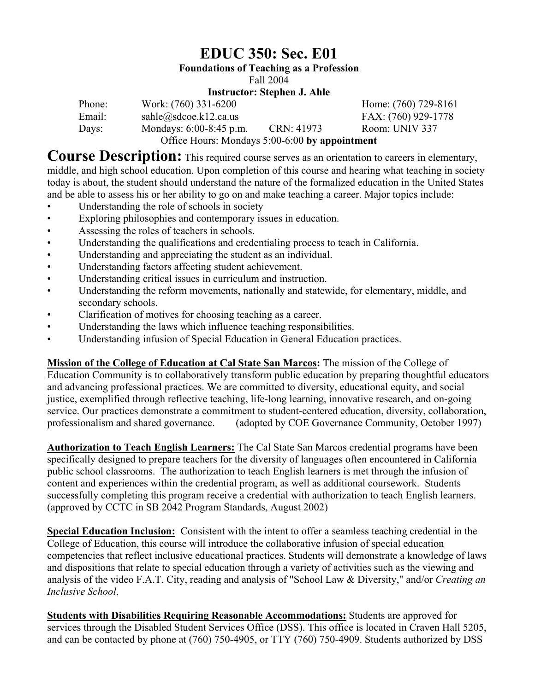## **EDUC 350: Sec. E01**

**Foundations of Teaching as a Profession** 

Fall 2004

#### **Instructor: Stephen J. Ahle**

| Phone: | Work: (760) 331-6200                           |            | Home: (760) 729-8161 |
|--------|------------------------------------------------|------------|----------------------|
| Email: | $sahle(\omega)$ sdcoe.k12.ca.us                |            | FAX: (760) 929-1778  |
| Days:  | Mondays: 6:00-8:45 p.m.                        | CRN: 41973 | Room: UNIV 337       |
|        | Office Hours: Mondays 5:00-6:00 by appointment |            |                      |

**Course Description:** This required course serves as an orientation to careers in elementary, middle, and high school education. Upon completion of this course and hearing what teaching in society today is about, the student should understand the nature of the formalized education in the United States and be able to assess his or her ability to go on and make teaching a career. Major topics include:

- Understanding the role of schools in society
- Exploring philosophies and contemporary issues in education.
- Assessing the roles of teachers in schools.
- Understanding the qualifications and credentialing process to teach in California.
- Understanding and appreciating the student as an individual.
- Understanding factors affecting student achievement.
- Understanding critical issues in curriculum and instruction.
- Understanding the reform movements, nationally and statewide, for elementary, middle, and secondary schools.
- Clarification of motives for choosing teaching as a career.
- Understanding the laws which influence teaching responsibilities.
- Understanding infusion of Special Education in General Education practices.

**Mission of the College of Education at Cal State San Marcos:** The mission of the College of Education Community is to collaboratively transform public education by preparing thoughtful educators and advancing professional practices. We are committed to diversity, educational equity, and social justice, exemplified through reflective teaching, life-long learning, innovative research, and on-going service. Our practices demonstrate a commitment to student-centered education, diversity, collaboration, professionalism and shared governance. (adopted by COE Governance Community, October 1997)

**Authorization to Teach English Learners:** The Cal State San Marcos credential programs have been specifically designed to prepare teachers for the diversity of languages often encountered in California public school classrooms. The authorization to teach English learners is met through the infusion of content and experiences within the credential program, as well as additional coursework. Students successfully completing this program receive a credential with authorization to teach English learners. (approved by CCTC in SB 2042 Program Standards, August 2002)

**Special Education Inclusion:** Consistent with the intent to offer a seamless teaching credential in the College of Education, this course will introduce the collaborative infusion of special education competencies that reflect inclusive educational practices. Students will demonstrate a knowledge of laws and dispositions that relate to special education through a variety of activities such as the viewing and analysis of the video F.A.T. City, reading and analysis of "School Law & Diversity," and/or *Creating an Inclusive School*.

**Students with Disabilities Requiring Reasonable Accommodations:** Students are approved for services through the Disabled Student Services Office (DSS). This office is located in Craven Hall 5205, and can be contacted by phone at (760) 750-4905, or TTY (760) 750-4909. Students authorized by DSS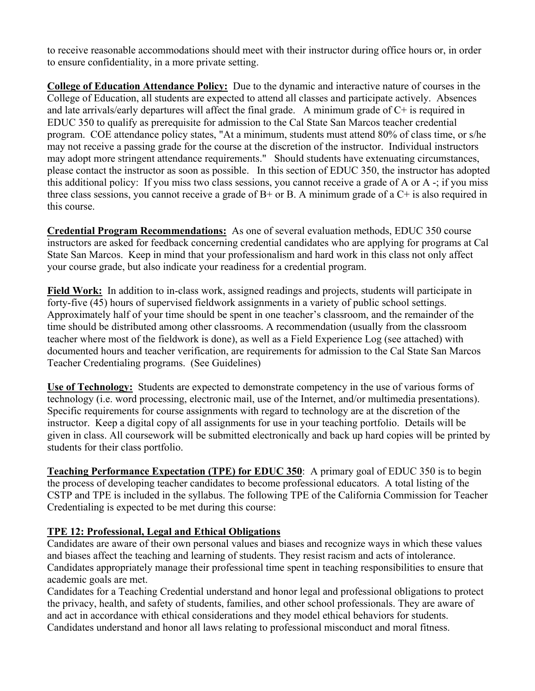to receive reasonable accommodations should meet with their instructor during office hours or, in order to ensure confidentiality, in a more private setting.

**College of Education Attendance Policy:** Due to the dynamic and interactive nature of courses in the College of Education, all students are expected to attend all classes and participate actively. Absences and late arrivals/early departures will affect the final grade. A minimum grade of C+ is required in EDUC 350 to qualify as prerequisite for admission to the Cal State San Marcos teacher credential program. COE attendance policy states, "At a minimum, students must attend 80% of class time, or s/he may not receive a passing grade for the course at the discretion of the instructor. Individual instructors may adopt more stringent attendance requirements." Should students have extenuating circumstances, please contact the instructor as soon as possible. In this section of EDUC 350, the instructor has adopted this additional policy: If you miss two class sessions, you cannot receive a grade of A or A -; if you miss three class sessions, you cannot receive a grade of  $B<sup>+</sup>$  or B. A minimum grade of a  $C<sup>+</sup>$  is also required in this course.

**Credential Program Recommendations:** As one of several evaluation methods, EDUC 350 course instructors are asked for feedback concerning credential candidates who are applying for programs at Cal State San Marcos. Keep in mind that your professionalism and hard work in this class not only affect your course grade, but also indicate your readiness for a credential program.

**Field Work:** In addition to in-class work, assigned readings and projects, students will participate in forty-five (45) hours of supervised fieldwork assignments in a variety of public school settings. Approximately half of your time should be spent in one teacher's classroom, and the remainder of the time should be distributed among other classrooms. A recommendation (usually from the classroom teacher where most of the fieldwork is done), as well as a Field Experience Log (see attached) with documented hours and teacher verification, are requirements for admission to the Cal State San Marcos Teacher Credentialing programs. (See Guidelines)

**Use of Technology:** Students are expected to demonstrate competency in the use of various forms of technology (i.e. word processing, electronic mail, use of the Internet, and/or multimedia presentations). Specific requirements for course assignments with regard to technology are at the discretion of the instructor. Keep a digital copy of all assignments for use in your teaching portfolio. Details will be given in class. All coursework will be submitted electronically and back up hard copies will be printed by students for their class portfolio.

**Teaching Performance Expectation (TPE) for EDUC 350**: A primary goal of EDUC 350 is to begin the process of developing teacher candidates to become professional educators. A total listing of the CSTP and TPE is included in the syllabus. The following TPE of the California Commission for Teacher Credentialing is expected to be met during this course:

## **TPE 12: Professional, Legal and Ethical Obligations**

Candidates are aware of their own personal values and biases and recognize ways in which these values and biases affect the teaching and learning of students. They resist racism and acts of intolerance. Candidates appropriately manage their professional time spent in teaching responsibilities to ensure that academic goals are met.

Candidates for a Teaching Credential understand and honor legal and professional obligations to protect the privacy, health, and safety of students, families, and other school professionals. They are aware of and act in accordance with ethical considerations and they model ethical behaviors for students. Candidates understand and honor all laws relating to professional misconduct and moral fitness.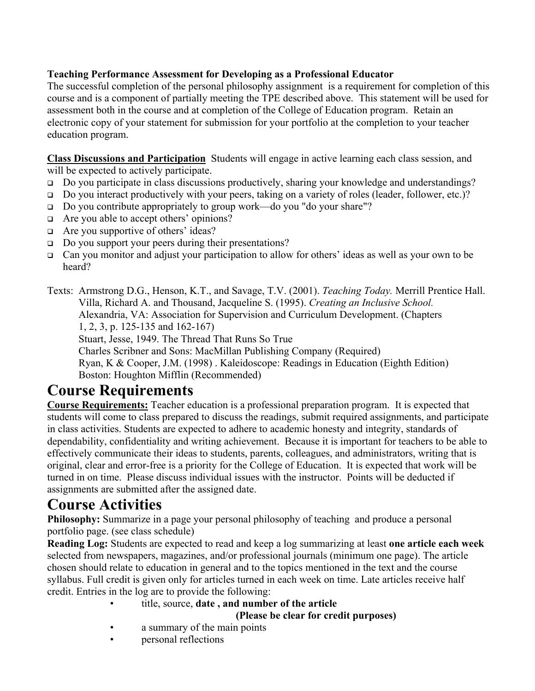## **Teaching Performance Assessment for Developing as a Professional Educator**

The successful completion of the personal philosophy assignment is a requirement for completion of this course and is a component of partially meeting the TPE described above. This statement will be used for assessment both in the course and at completion of the College of Education program. Retain an electronic copy of your statement for submission for your portfolio at the completion to your teacher education program.

**Class Discussions and Participation** Students will engage in active learning each class session, and will be expected to actively participate.

- □ Do you participate in class discussions productively, sharing your knowledge and understandings?
- $\Box$  Do you interact productively with your peers, taking on a variety of roles (leader, follower, etc.)?
- Do you contribute appropriately to group work—do you "do your share"?
- □ Are you able to accept others' opinions?
- □ Are you supportive of others' ideas?
- □ Do you support your peers during their presentations?
- $\Box$  Can you monitor and adjust your participation to allow for others' ideas as well as your own to be heard?

Texts: Armstrong D.G., Henson, K.T., and Savage, T.V. (2001). *Teaching Today.* Merrill Prentice Hall. Villa, Richard A. and Thousand, Jacqueline S. (1995). *Creating an Inclusive School.* Alexandria, VA: Association for Supervision and Curriculum Development. (Chapters 1, 2, 3, p. 125-135 and 162-167) Stuart, Jesse, 1949. The Thread That Runs So True Charles Scribner and Sons: MacMillan Publishing Company (Required)

 Ryan, K & Cooper, J.M. (1998) . Kaleidoscope: Readings in Education (Eighth Edition) Boston: Houghton Mifflin (Recommended)

## **Course Requirements**

**Course Requirements:** Teacher education is a professional preparation program. It is expected that students will come to class prepared to discuss the readings, submit required assignments, and participate in class activities. Students are expected to adhere to academic honesty and integrity, standards of dependability, confidentiality and writing achievement. Because it is important for teachers to be able to effectively communicate their ideas to students, parents, colleagues, and administrators, writing that is original, clear and error-free is a priority for the College of Education. It is expected that work will be turned in on time. Please discuss individual issues with the instructor. Points will be deducted if assignments are submitted after the assigned date.

## **Course Activities**

**Philosophy:** Summarize in a page your personal philosophy of teaching and produce a personal portfolio page. (see class schedule)

**Reading Log:** Students are expected to read and keep a log summarizing at least **one article each week** selected from newspapers, magazines, and/or professional journals (minimum one page). The article chosen should relate to education in general and to the topics mentioned in the text and the course syllabus. Full credit is given only for articles turned in each week on time. Late articles receive half credit. Entries in the log are to provide the following:

- title, source, **date , and number of the article** 
	- **(Please be clear for credit purposes)**
- a summary of the main points
- personal reflections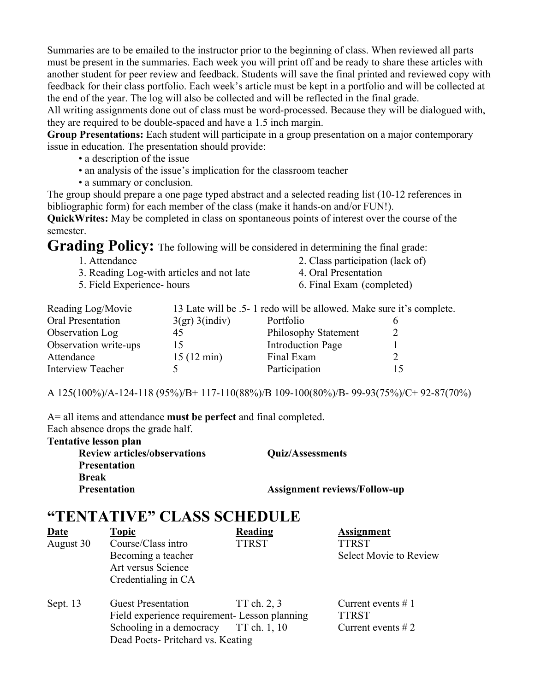Summaries are to be emailed to the instructor prior to the beginning of class. When reviewed all parts must be present in the summaries. Each week you will print off and be ready to share these articles with another student for peer review and feedback. Students will save the final printed and reviewed copy with feedback for their class portfolio. Each week's article must be kept in a portfolio and will be collected at the end of the year. The log will also be collected and will be reflected in the final grade.

All writing assignments done out of class must be word-processed. Because they will be dialogued with, they are required to be double-spaced and have a 1.5 inch margin.

**Group Presentations:** Each student will participate in a group presentation on a major contemporary issue in education. The presentation should provide:

- a description of the issue
- an analysis of the issue's implication for the classroom teacher
- a summary or conclusion.

The group should prepare a one page typed abstract and a selected reading list (10-12 references in bibliographic form) for each member of the class (make it hands-on and/or FUN!).

**QuickWrites:** May be completed in class on spontaneous points of interest over the course of the semester.

**Grading Policy:** The following will be considered in determining the final grade:

- 
- 3. Reading Log-with articles and not late 4. Oral Presentation
- 
- 1. Attendance 2. Class participation (lack of)
	-
- 5. Field Experience- hours 6. Final Exam (completed)

| Reading Log/Movie        |                      | 13 Late will be .5- 1 redo will be allowed. Make sure it's complete. |  |
|--------------------------|----------------------|----------------------------------------------------------------------|--|
| Oral Presentation        | 3(gr) 3(indiv)       | Portfolio                                                            |  |
| Observation Log          | 45                   | <b>Philosophy Statement</b>                                          |  |
| Observation write-ups    | 15                   | <b>Introduction Page</b>                                             |  |
| Attendance               | $15(12 \text{ min})$ | Final Exam                                                           |  |
| <b>Interview Teacher</b> |                      | Participation                                                        |  |

A 125(100%)/A-124-118 (95%)/B+ 117-110(88%)/B 109-100(80%)/B- 99-93(75%)/C+ 92-87(70%)

A= all items and attendance **must be perfect** and final completed.

Each absence drops the grade half.

#### **Tentative lesson plan**

| <b>Review articles/observations</b> | <b>Quiz/Assessments</b>             |
|-------------------------------------|-------------------------------------|
| <b>Presentation</b>                 |                                     |
| <b>Break</b>                        |                                     |
| <b>Presentation</b>                 | <b>Assignment reviews/Follow-up</b> |

## **"TENTATIVE" CLASS SCHEDULE**

| <b>Date</b> | <b>Topic</b>                                  | Reading      | <b>Assignment</b>             |
|-------------|-----------------------------------------------|--------------|-------------------------------|
| August 30   | Course/Class intro                            | <b>TTRST</b> | <b>TTRST</b>                  |
|             | Becoming a teacher                            |              | <b>Select Movie to Review</b> |
|             | Art versus Science                            |              |                               |
|             | Credentialing in CA                           |              |                               |
| Sept. 13    | <b>Guest Presentation</b>                     | TT ch. 2, 3  | Current events $# 1$          |
|             | Field experience requirement- Lesson planning |              | <b>TTRST</b>                  |
|             | Schooling in a democracy                      | TT ch. 1, 10 | Current events $# 2$          |
|             | Dead Poets- Pritchard vs. Keating             |              |                               |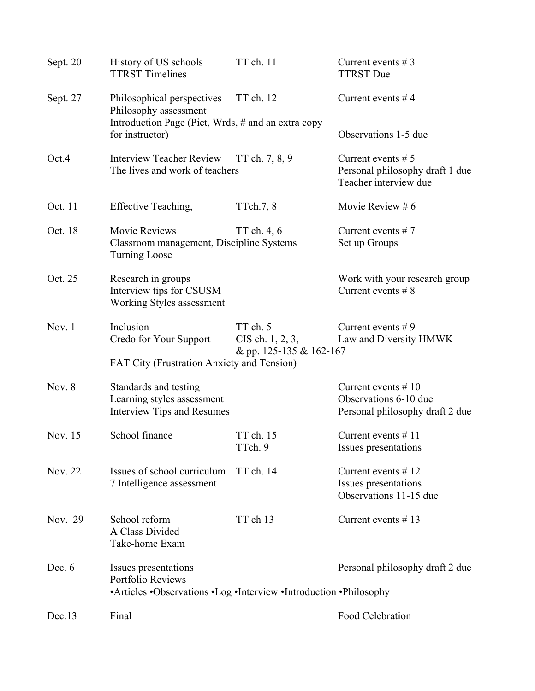| Sept. 20 | History of US schools<br><b>TTRST Timelines</b>                                                                | TT ch. 11                                                   | Current events $# 3$<br><b>TTRST</b> Due                                          |
|----------|----------------------------------------------------------------------------------------------------------------|-------------------------------------------------------------|-----------------------------------------------------------------------------------|
| Sept. 27 | Philosophical perspectives<br>Philosophy assessment                                                            | TT ch. 12                                                   | Current events $#4$                                                               |
|          | Introduction Page (Pict, Wrds, # and an extra copy<br>for instructor)                                          |                                                             | Observations 1-5 due                                                              |
| Oct.4    | <b>Interview Teacher Review</b><br>The lives and work of teachers                                              | TT ch. 7, 8, 9                                              | Current events $# 5$<br>Personal philosophy draft 1 due<br>Teacher interview due  |
| Oct. 11  | Effective Teaching,                                                                                            | TTch.7, 8                                                   | Movie Review #6                                                                   |
| Oct. 18  | <b>Movie Reviews</b><br>Classroom management, Discipline Systems<br><b>Turning Loose</b>                       | TT ch. 4, 6                                                 | Current events $# 7$<br>Set up Groups                                             |
| Oct. 25  | Research in groups<br>Interview tips for CSUSM<br>Working Styles assessment                                    |                                                             | Work with your research group<br>Current events $# 8$                             |
| Nov. $1$ | Inclusion<br>Credo for Your Support                                                                            | TT ch. 5<br>$CIS$ ch. $1, 2, 3,$<br>& pp. 125-135 & 162-167 | Current events $# 9$<br>Law and Diversity HMWK                                    |
|          | FAT City (Frustration Anxiety and Tension)                                                                     |                                                             |                                                                                   |
| Nov. $8$ | Standards and testing<br>Learning styles assessment<br><b>Interview Tips and Resumes</b>                       |                                                             | Current events $# 10$<br>Observations 6-10 due<br>Personal philosophy draft 2 due |
| Nov. 15  | School finance                                                                                                 | TT ch. 15<br>TTch. 9                                        | Current events $# 11$<br>Issues presentations                                     |
| Nov. 22  | Issues of school curriculum<br>7 Intelligence assessment                                                       | TT ch. 14                                                   | Current events $# 12$<br>Issues presentations<br>Observations 11-15 due           |
| Nov. 29  | School reform<br>A Class Divided<br>Take-home Exam                                                             | TT ch 13                                                    | Current events $# 13$                                                             |
| Dec. $6$ | Issues presentations<br>Portfolio Reviews<br>•Articles •Observations •Log •Interview •Introduction •Philosophy |                                                             | Personal philosophy draft 2 due                                                   |
| Dec.13   | Final                                                                                                          |                                                             | Food Celebration                                                                  |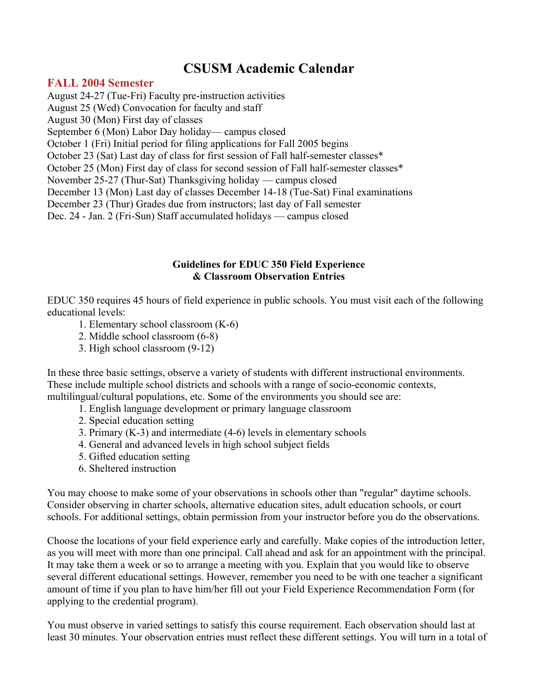## **CSUSM Academic Calendar**

## **FALL 2004 Semester**

August 24-27 (Tue-Fri) Faculty pre-instruction activities August 25 (Wed) Convocation for faculty and staff August 30 (Mon) First day of classes September 6 (Mon) Labor Day holiday— campus closed October 1 (Fri) Initial period for filing applications for Fall 2005 begins October 23 (Sat) Last day of class for first session of Fall half-semester classes\* October 25 (Mon) First day of class for second session of Fall half-semester classes\* November 25-27 (Thur-Sat) Thanksgiving holiday — campus closed December 13 (Mon) Last day of classes December 14-18 (Tue-Sat) Final examinations December 23 (Thur) Grades due from instructors; last day of Fall semester Dec. 24 - Jan. 2 (Fri-Sun) Staff accumulated holidays — campus closed

### **Guidelines for EDUC 350 Field Experience & Classroom Observation Entries**

EDUC 350 requires 45 hours of field experience in public schools. You must visit each of the following educational levels:

- 1. Elementary school classroom (K-6)
- 2. Middle school classroom (6-8)
- 3. High school classroom (9-12)

In these three basic settings, observe a variety of students with different instructional environments. These include multiple school districts and schools with a range of socio-economic contexts, multilingual/cultural populations, etc. Some of the environments you should see are:

- 1. English language development or primary language classroom
- 2. Special education setting
- 3. Primary (K-3) and intermediate (4-6) levels in elementary schools
- 4. General and advanced levels in high school subject fields
- 5. Gifted education setting
- 6. Sheltered instruction

You may choose to make some of your observations in schools other than "regular" daytime schools. Consider observing in charter schools, alternative education sites, adult education schools, or court schools. For additional settings, obtain permission from your instructor before you do the observations.

Choose the locations of your field experience early and carefully. Make copies of the introduction letter, as you will meet with more than one principal. Call ahead and ask for an appointment with the principal. It may take them a week or so to arrange a meeting with you. Explain that you would like to observe several different educational settings. However, remember you need to be with one teacher a significant amount of time if you plan to have him/her fill out your Field Experience Recommendation Form (for applying to the credential program).

You must observe in varied settings to satisfy this course requirement. Each observation should last at least 30 minutes. Your observation entries must reflect these different settings. You will turn in a total of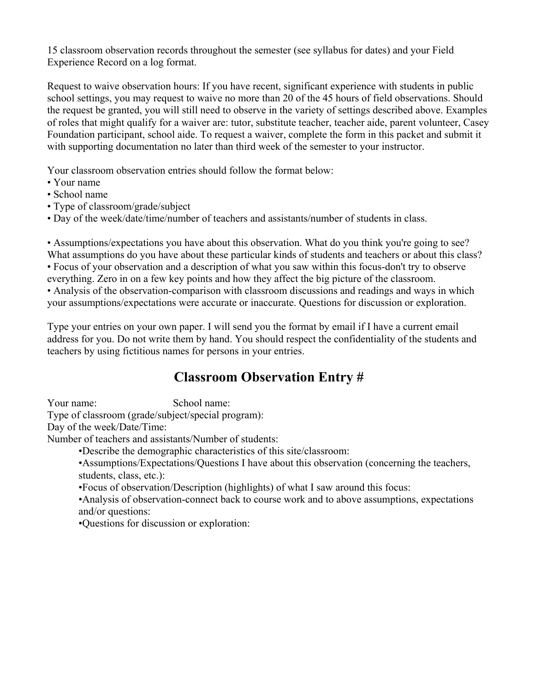15 classroom observation records throughout the semester (see syllabus for dates) and your Field Experience Record on a log format.

Request to waive observation hours: If you have recent, significant experience with students in public school settings, you may request to waive no more than 20 of the 45 hours of field observations. Should the request be granted, you will still need to observe in the variety of settings described above. Examples of roles that might qualify for a waiver are: tutor, substitute teacher, teacher aide, parent volunteer, Casey Foundation participant, school aide. To request a waiver, complete the form in this packet and submit it with supporting documentation no later than third week of the semester to your instructor.

Your classroom observation entries should follow the format below:

- Your name
- School name
- Type of classroom/grade/subject
- Day of the week/date/time/number of teachers and assistants/number of students in class.

• Assumptions/expectations you have about this observation. What do you think you're going to see? What assumptions do you have about these particular kinds of students and teachers or about this class? • Focus of your observation and a description of what you saw within this focus-don't try to observe

everything. Zero in on a few key points and how they affect the big picture of the classroom.

• Analysis of the observation-comparison with classroom discussions and readings and ways in which your assumptions/expectations were accurate or inaccurate. Questions for discussion or exploration.

Type your entries on your own paper. I will send you the format by email if I have a current email address for you. Do not write them by hand. You should respect the confidentiality of the students and teachers by using fictitious names for persons in your entries.

## **Classroom Observation Entry #**

Your name: School name:

Type of classroom (grade/subject/special program):

Day of the week/Date/Time:

Number of teachers and assistants/Number of students:

•Describe the demographic characteristics of this site/classroom:

•Assumptions/Expectations/Questions I have about this observation (concerning the teachers, students, class, etc.):

•Focus of observation/Description (highlights) of what I saw around this focus:

•Analysis of observation-connect back to course work and to above assumptions, expectations and/or questions:

•Questions for discussion or exploration: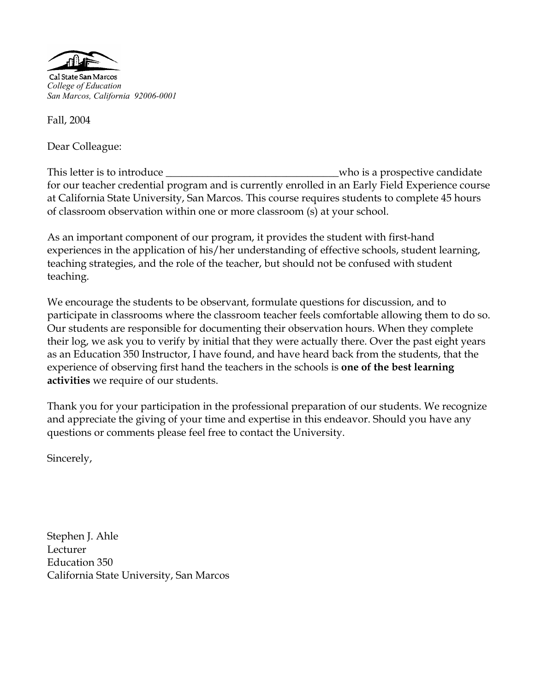

Cal State San Marcos *College of Education San Marcos, California 92006-0001*

Fall, 2004

Dear Colleague:

This letter is to introduce \_\_\_\_\_\_\_\_\_\_\_\_\_\_\_\_\_\_\_\_\_\_\_\_\_\_\_\_\_\_\_\_\_who is a prospective candidate for our teacher credential program and is currently enrolled in an Early Field Experience course at California State University, San Marcos. This course requires students to complete 45 hours of classroom observation within one or more classroom (s) at your school.

As an important component of our program, it provides the student with first-hand experiences in the application of his/her understanding of effective schools, student learning, teaching strategies, and the role of the teacher, but should not be confused with student teaching.

We encourage the students to be observant, formulate questions for discussion, and to participate in classrooms where the classroom teacher feels comfortable allowing them to do so. Our students are responsible for documenting their observation hours. When they complete their log, we ask you to verify by initial that they were actually there. Over the past eight years as an Education 350 Instructor, I have found, and have heard back from the students, that the experience of observing first hand the teachers in the schools is **one of the best learning activities** we require of our students.

Thank you for your participation in the professional preparation of our students. We recognize and appreciate the giving of your time and expertise in this endeavor. Should you have any questions or comments please feel free to contact the University.

Sincerely,

Stephen J. Ahle Lecturer Education 350 California State University, San Marcos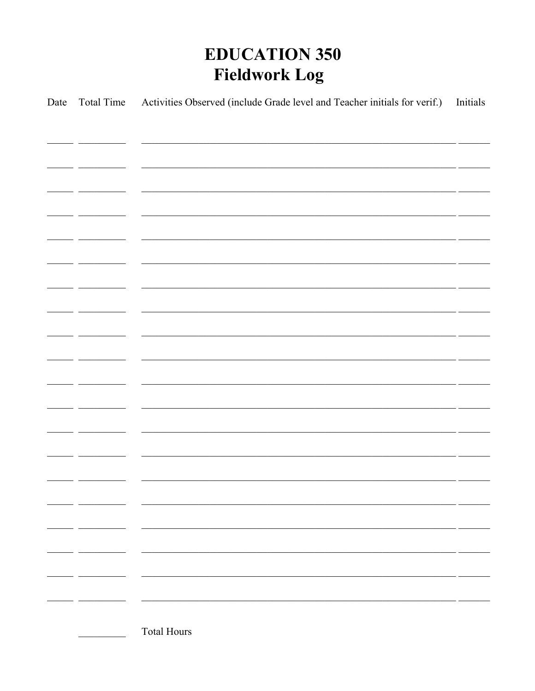# **EDUCATION 350 Fieldwork Log**

| Date | Total Time | Activities Observed (include Grade level and Teacher initials for verif.)                                             | Initials |
|------|------------|-----------------------------------------------------------------------------------------------------------------------|----------|
|      |            |                                                                                                                       |          |
|      |            | <u> 1989 - Jan James James James James James James James James James James James James James James James Jam</u>      |          |
|      |            |                                                                                                                       |          |
|      |            | <u> 1989 - Johann John Stone, Amerikaansk politiker (d. 1989)</u>                                                     |          |
|      |            |                                                                                                                       |          |
|      |            | <u> 1999 - Jan James James Barnett, amerikan berlindar (h. 1989).</u>                                                 |          |
|      |            |                                                                                                                       |          |
|      |            |                                                                                                                       |          |
|      |            | <u> 1999 - Jan James James James James James James James James James James James James James James James James J</u>  |          |
|      |            | <u> 1999 - Jan James James James James James James James James James James James James James James James James J</u>  |          |
|      |            |                                                                                                                       |          |
|      |            |                                                                                                                       |          |
|      |            | <u> 1999 - Jan James James James James James James James James James James James James James James James James J</u>  |          |
|      |            |                                                                                                                       |          |
|      |            |                                                                                                                       |          |
|      |            | <u> 1999 - 1999 - 1999 - 1999 - 1999 - 1999 - 1999 - 1999 - 1999 - 1999 - 1999 - 1999 - 1999 - 1999 - 1999 - 199</u>  |          |
|      |            | <u> 1999 - Jacques Alexandro III, poeta estadounidense en la contradición de la contradición de la contradición d</u> |          |
|      |            |                                                                                                                       |          |
|      |            |                                                                                                                       |          |
|      |            |                                                                                                                       |          |
|      |            |                                                                                                                       |          |
|      |            |                                                                                                                       |          |
|      |            |                                                                                                                       |          |
|      |            |                                                                                                                       |          |
|      |            |                                                                                                                       |          |
|      |            |                                                                                                                       |          |
|      |            |                                                                                                                       |          |
|      |            |                                                                                                                       |          |
|      |            |                                                                                                                       |          |
|      |            |                                                                                                                       |          |
|      |            |                                                                                                                       |          |
|      |            |                                                                                                                       |          |
|      |            | <b>Total Hours</b>                                                                                                    |          |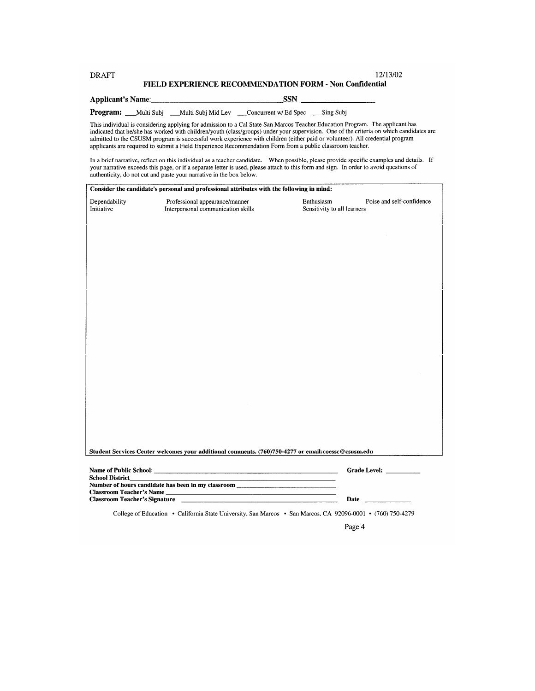#### 12/13/02 **DRAFT** FIELD EXPERIENCE RECOMMENDATION FORM - Non Confidential

**SSN** Applicant's Name:

**Program:** \_\_Multi Subj \_\_Multi Subj Mid Lev \_\_\_Concurrent w/ Ed Spec \_\_\_Sing Subj

This individual is considering applying for admission to a Cal State San Marcos Teacher Education Program. The applicant has into the distribution is considered with children/youth (class/groups) under your supervision. One of the criteria on which candidates are<br>admitted to the CSUSM program is successful work experience with children (either p

In a brief narrative, reflect on this individual as a teacher candidate. When possible, please provide specific examples and details. If your narrative exceeds this page, or if a separate letter is used, please attach to t authenticity, do not cut and paste your narrative in the box below.

| Dependability<br>Initiative     | Professional appearance/manner<br>Interpersonal communication skills                               | Enthusiasm<br>Poise and self-confidence<br>Sensitivity to all learners                                                                                                                                                              |
|---------------------------------|----------------------------------------------------------------------------------------------------|-------------------------------------------------------------------------------------------------------------------------------------------------------------------------------------------------------------------------------------|
|                                 |                                                                                                    |                                                                                                                                                                                                                                     |
|                                 |                                                                                                    |                                                                                                                                                                                                                                     |
|                                 |                                                                                                    |                                                                                                                                                                                                                                     |
|                                 |                                                                                                    |                                                                                                                                                                                                                                     |
|                                 |                                                                                                    |                                                                                                                                                                                                                                     |
|                                 |                                                                                                    |                                                                                                                                                                                                                                     |
|                                 |                                                                                                    |                                                                                                                                                                                                                                     |
|                                 |                                                                                                    |                                                                                                                                                                                                                                     |
|                                 |                                                                                                    |                                                                                                                                                                                                                                     |
|                                 |                                                                                                    |                                                                                                                                                                                                                                     |
|                                 |                                                                                                    |                                                                                                                                                                                                                                     |
|                                 |                                                                                                    |                                                                                                                                                                                                                                     |
|                                 |                                                                                                    |                                                                                                                                                                                                                                     |
|                                 |                                                                                                    |                                                                                                                                                                                                                                     |
|                                 |                                                                                                    |                                                                                                                                                                                                                                     |
|                                 |                                                                                                    |                                                                                                                                                                                                                                     |
|                                 |                                                                                                    |                                                                                                                                                                                                                                     |
|                                 |                                                                                                    |                                                                                                                                                                                                                                     |
|                                 |                                                                                                    |                                                                                                                                                                                                                                     |
|                                 |                                                                                                    |                                                                                                                                                                                                                                     |
|                                 |                                                                                                    |                                                                                                                                                                                                                                     |
|                                 |                                                                                                    |                                                                                                                                                                                                                                     |
|                                 | Student Services Center welcomes your additional comments. (760)750-4277 or email:coessc@csusm.edu |                                                                                                                                                                                                                                     |
|                                 |                                                                                                    |                                                                                                                                                                                                                                     |
| School District                 |                                                                                                    |                                                                                                                                                                                                                                     |
| <b>Classroom Teacher's Name</b> | Number of hours candidate has been in my classroom ______________________________                  |                                                                                                                                                                                                                                     |
|                                 | Classroom Teacher's Signature <b>Executive Classroom Teacher's Signature</b>                       | <b>Date</b> and the same of the same of the same of the same of the same of the same of the same of the same of the same of the same of the same of the same of the same of the same of the same of the same of the same of the sam |

Page 4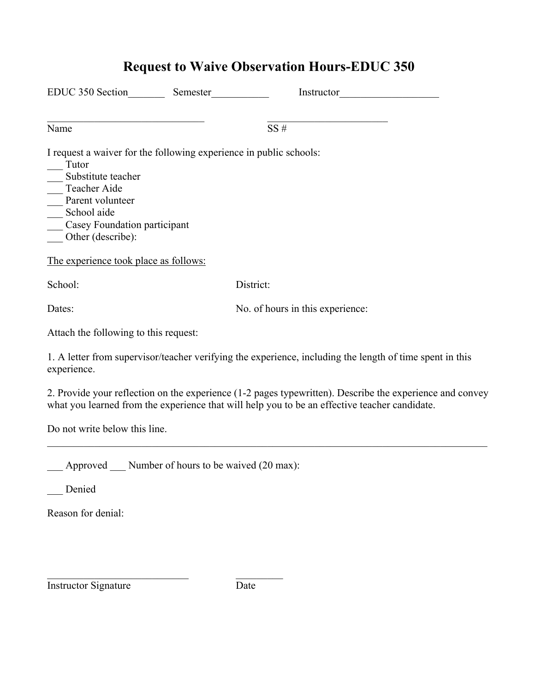| EDUC 350 Section<br>Semester                                                                                                                                                                                                                                            |  |                                  |  |
|-------------------------------------------------------------------------------------------------------------------------------------------------------------------------------------------------------------------------------------------------------------------------|--|----------------------------------|--|
| Name                                                                                                                                                                                                                                                                    |  | SS#                              |  |
| I request a waiver for the following experience in public schools:<br>Tutor<br>Substitute teacher<br>Teacher Aide<br>Parent volunteer<br>$\frac{1}{\sqrt{1}}$ School aide<br>Casey Foundation participant<br>Other (describe):<br>The experience took place as follows: |  |                                  |  |
| School:                                                                                                                                                                                                                                                                 |  | District:                        |  |
| Dates:                                                                                                                                                                                                                                                                  |  | No. of hours in this experience: |  |
| Attach the following to this request:                                                                                                                                                                                                                                   |  |                                  |  |
| 1. A letter from supervisor/teacher verifying the experience, including the length of time spent in this<br>experience.                                                                                                                                                 |  |                                  |  |
| 2. Provide your reflection on the experience (1-2 pages typewritten). Describe the experience and convey<br>what you learned from the experience that will help you to be an effective teacher candidate.                                                               |  |                                  |  |
| Do not write below this line.                                                                                                                                                                                                                                           |  |                                  |  |

**Request to Waive Observation Hours-EDUC 350** 

\_\_\_ Approved \_\_\_ Number of hours to be waived (20 max):

 $\mathcal{L}_\text{max}$  , and the set of the set of the set of the set of the set of the set of the set of the set of the set of the set of the set of the set of the set of the set of the set of the set of the set of the set of the

\_\_\_ Denied

Reason for denial:

Instructor Signature Date

 $\mathcal{L}_\mathcal{L} = \{ \mathcal{L}_\mathcal{L} = \{ \mathcal{L}_\mathcal{L} = \{ \mathcal{L}_\mathcal{L} = \{ \mathcal{L}_\mathcal{L} = \{ \mathcal{L}_\mathcal{L} = \{ \mathcal{L}_\mathcal{L} = \{ \mathcal{L}_\mathcal{L} = \{ \mathcal{L}_\mathcal{L} = \{ \mathcal{L}_\mathcal{L} = \{ \mathcal{L}_\mathcal{L} = \{ \mathcal{L}_\mathcal{L} = \{ \mathcal{L}_\mathcal{L} = \{ \mathcal{L}_\mathcal{L} = \{ \mathcal{L}_\mathcal{$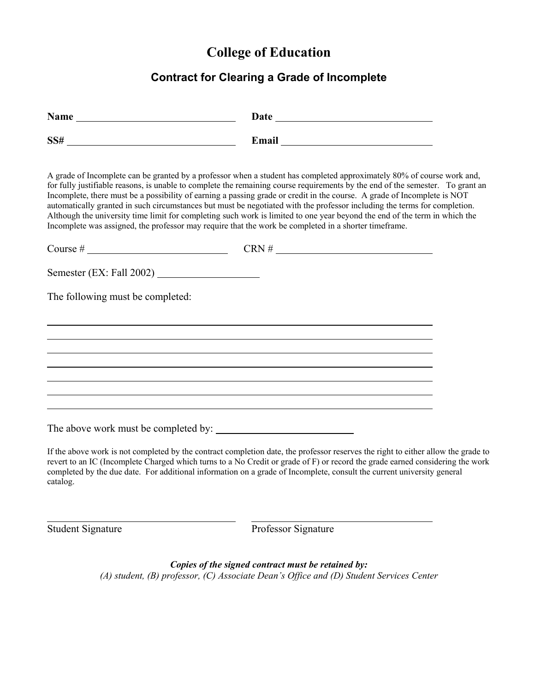## **College of Education**

## **Contract for Clearing a Grade of Incomplete**

| $SS# \begin{tabular}{c} \multicolumn{2}{c} {\textbf{SS#}} \end{tabular}$                                                                                                                                                                                                                                                                                                                                                                                                                                                                                                                                                                                                                                                                                 |                                                                                                                                                                      |  |
|----------------------------------------------------------------------------------------------------------------------------------------------------------------------------------------------------------------------------------------------------------------------------------------------------------------------------------------------------------------------------------------------------------------------------------------------------------------------------------------------------------------------------------------------------------------------------------------------------------------------------------------------------------------------------------------------------------------------------------------------------------|----------------------------------------------------------------------------------------------------------------------------------------------------------------------|--|
| A grade of Incomplete can be granted by a professor when a student has completed approximately 80% of course work and,<br>for fully justifiable reasons, is unable to complete the remaining course requirements by the end of the semester. To grant an<br>Incomplete, there must be a possibility of earning a passing grade or credit in the course. A grade of Incomplete is NOT<br>automatically granted in such circumstances but must be negotiated with the professor including the terms for completion.<br>Although the university time limit for completing such work is limited to one year beyond the end of the term in which the<br>Incomplete was assigned, the professor may require that the work be completed in a shorter timeframe. |                                                                                                                                                                      |  |
|                                                                                                                                                                                                                                                                                                                                                                                                                                                                                                                                                                                                                                                                                                                                                          |                                                                                                                                                                      |  |
|                                                                                                                                                                                                                                                                                                                                                                                                                                                                                                                                                                                                                                                                                                                                                          |                                                                                                                                                                      |  |
| The following must be completed:                                                                                                                                                                                                                                                                                                                                                                                                                                                                                                                                                                                                                                                                                                                         |                                                                                                                                                                      |  |
|                                                                                                                                                                                                                                                                                                                                                                                                                                                                                                                                                                                                                                                                                                                                                          |                                                                                                                                                                      |  |
|                                                                                                                                                                                                                                                                                                                                                                                                                                                                                                                                                                                                                                                                                                                                                          |                                                                                                                                                                      |  |
|                                                                                                                                                                                                                                                                                                                                                                                                                                                                                                                                                                                                                                                                                                                                                          |                                                                                                                                                                      |  |
|                                                                                                                                                                                                                                                                                                                                                                                                                                                                                                                                                                                                                                                                                                                                                          | ,我们也不会有什么。""我们的人,我们也不会有什么?""我们的人,我们也不会有什么?""我们的人,我们也不会有什么?""我们的人,我们也不会有什么?""我们的人<br>,我们也不会有什么。""我们的人,我们也不会有什么?""我们的人,我们也不会有什么?""我们的人,我们也不会有什么?""我们的人,我们也不会有什么?""我们的人 |  |
|                                                                                                                                                                                                                                                                                                                                                                                                                                                                                                                                                                                                                                                                                                                                                          |                                                                                                                                                                      |  |
|                                                                                                                                                                                                                                                                                                                                                                                                                                                                                                                                                                                                                                                                                                                                                          |                                                                                                                                                                      |  |
| If the above work is not completed by the contract completion date, the professor reserves the right to either allow the grade to<br>revert to an IC (Incomplete Charged which turns to a No Credit or grade of F) or record the grade earned considering the work<br>completed by the due date. For additional information on a grade of Incomplete, consult the current university general<br>catalog.                                                                                                                                                                                                                                                                                                                                                 |                                                                                                                                                                      |  |
|                                                                                                                                                                                                                                                                                                                                                                                                                                                                                                                                                                                                                                                                                                                                                          |                                                                                                                                                                      |  |

Student Signature Professor Signature

*Copies of the signed contract must be retained by: (A) student, (B) professor, (C) Associate Dean's Office and (D) Student Services Center*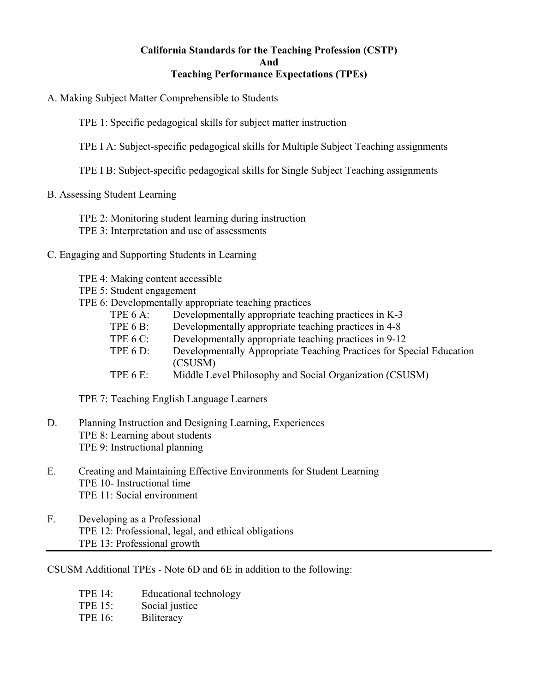#### **California Standards for the Teaching Profession (CSTP) And Teaching Performance Expectations (TPEs)**

- A. Making Subject Matter Comprehensible to Students
	- TPE 1: Specific pedagogical skills for subject matter instruction
	- TPE I A: Subject-specific pedagogical skills for Multiple Subject Teaching assignments
	- TPE I B: Subject-specific pedagogical skills for Single Subject Teaching assignments

#### B. Assessing Student Learning

- TPE 2: Monitoring student learning during instruction
- TPE 3: Interpretation and use of assessments

#### C. Engaging and Supporting Students in Learning

- TPE 4: Making content accessible
- TPE 5: Student engagement
- TPE 6: Developmentally appropriate teaching practices
	- TPE 6 A: Developmentally appropriate teaching practices in K-3
	- TPE 6 B: Developmentally appropriate teaching practices in 4-8
	- TPE 6 C: Developmentally appropriate teaching practices in 9-12
	- TPE 6 D: Developmentally Appropriate Teaching Practices for Special Education (CSUSM)
	- TPE 6 E: Middle Level Philosophy and Social Organization (CSUSM)

TPE 7: Teaching English Language Learners

- D. Planning Instruction and Designing Learning, Experiences TPE 8: Learning about students TPE 9: Instructional planning
- E. Creating and Maintaining Effective Environments for Student Learning TPE 10- Instructional time TPE 11: Social environment
- F. Developing as a Professional TPE 12: Professional, legal, and ethical obligations TPE 13: Professional growth

CSUSM Additional TPEs - Note 6D and 6E in addition to the following:

- TPE 14: Educational technology
- TPE 15: Social justice
- TPE 16: Biliteracy